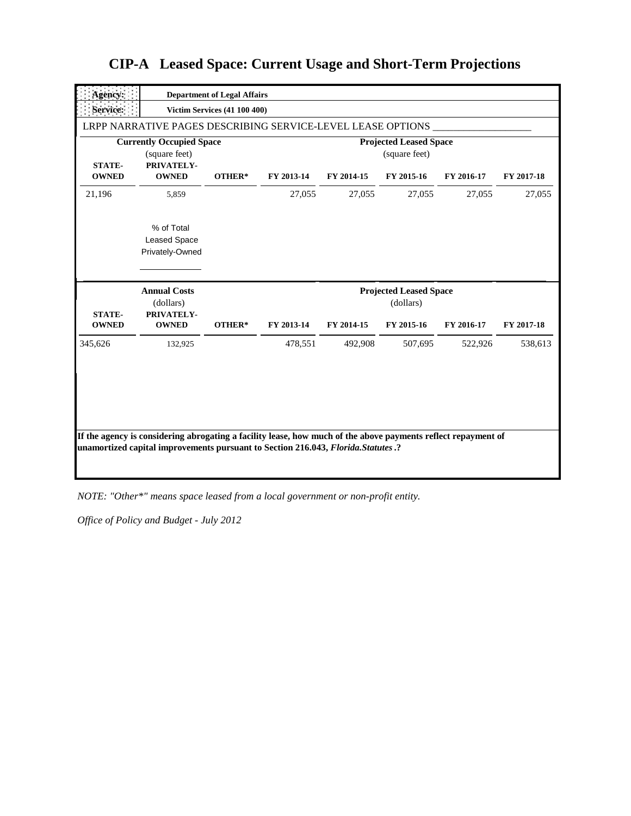| <b>Agency:</b>          |                                                                | <b>Department of Legal Affairs</b>  |                       |                       |                                                |                       |                       |
|-------------------------|----------------------------------------------------------------|-------------------------------------|-----------------------|-----------------------|------------------------------------------------|-----------------------|-----------------------|
| Service:                |                                                                | <b>Victim Services (41 100 400)</b> |                       |                       |                                                |                       |                       |
|                         | LRPP NARRATIVE PAGES DESCRIBING SERVICE-LEVEL LEASE OPTIONS    |                                     |                       |                       |                                                |                       |                       |
| <b>STATE-</b>           | <b>Currently Occupied Space</b><br>(square feet)<br>PRIVATELY- |                                     |                       |                       | <b>Projected Leased Space</b><br>(square feet) |                       |                       |
| <b>OWNED</b>            | <b>OWNED</b>                                                   | OTHER*                              | FY 2013-14            | FY 2014-15            | FY 2015-16                                     | FY 2016-17            | FY 2017-18            |
| 21,196                  | 5,859                                                          |                                     | 27,055                | 27,055                | 27,055                                         | 27,055                | 27,055                |
|                         | % of Total<br><b>Leased Space</b><br>Privately-Owned           |                                     |                       |                       |                                                |                       |                       |
|                         |                                                                |                                     |                       |                       |                                                |                       |                       |
| <b>STATE-</b>           | <b>Annual Costs</b><br>(dollars)<br>PRIVATELY-                 |                                     |                       |                       | <b>Projected Leased Space</b><br>(dollars)     |                       |                       |
| <b>OWNED</b><br>345,626 | <b>OWNED</b><br>132,925                                        | OTHER*                              | FY 2013-14<br>478,551 | FY 2014-15<br>492.908 | FY 2015-16<br>507,695                          | FY 2016-17<br>522,926 | FY 2017-18<br>538,613 |

*NOTE: "Other\*" means space leased from a local government or non-profit entity.*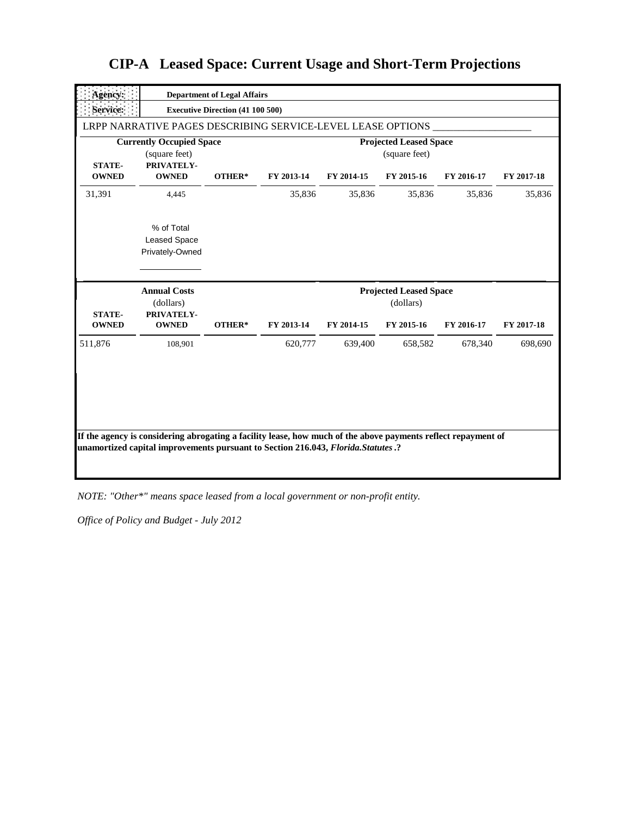| <b>Agency:</b>                |                                                                | <b>Department of Legal Affairs</b>      |            |            |                                                          |            |            |
|-------------------------------|----------------------------------------------------------------|-----------------------------------------|------------|------------|----------------------------------------------------------|------------|------------|
| Service:                      |                                                                | <b>Executive Direction (41 100 500)</b> |            |            |                                                          |            |            |
|                               | LRPP NARRATIVE PAGES DESCRIBING SERVICE-LEVEL LEASE OPTIONS    |                                         |            |            |                                                          |            |            |
| <b>STATE-</b>                 | <b>Currently Occupied Space</b><br>(square feet)<br>PRIVATELY- |                                         |            |            | <b>Projected Leased Space</b><br>(square feet)           |            |            |
| <b>OWNED</b>                  | <b>OWNED</b>                                                   | OTHER*                                  | FY 2013-14 | FY 2014-15 | FY 2015-16                                               | FY 2016-17 | FY 2017-18 |
| 31,391                        | 4,445                                                          |                                         | 35,836     | 35,836     | 35,836                                                   | 35,836     | 35,836     |
|                               | % of Total<br><b>Leased Space</b><br>Privately-Owned           |                                         |            |            |                                                          |            |            |
|                               |                                                                |                                         |            |            |                                                          |            |            |
| <b>STATE-</b><br><b>OWNED</b> | <b>Annual Costs</b><br>(dollars)<br>PRIVATELY-<br><b>OWNED</b> | OTHER*                                  | FY 2013-14 | FY 2014-15 | <b>Projected Leased Space</b><br>(dollars)<br>FY 2015-16 | FY 2016-17 | FY 2017-18 |
| 511,876                       | 108,901                                                        |                                         | 620,777    | 639,400    | 658.582                                                  | 678,340    | 698.690    |

*NOTE: "Other\*" means space leased from a local government or non-profit entity.*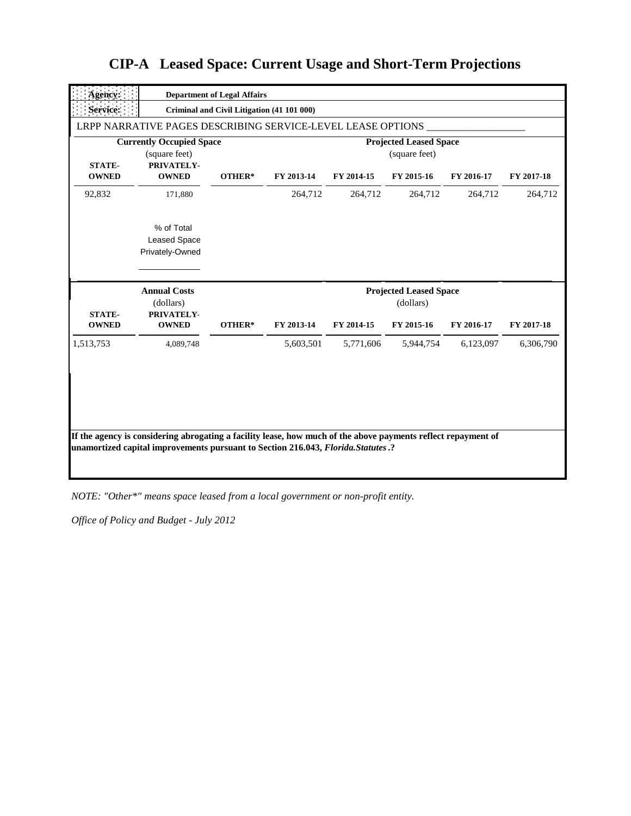| Agency:                       |                                                                | <b>Department of Legal Affairs</b>         |            |            |                                                |            |            |
|-------------------------------|----------------------------------------------------------------|--------------------------------------------|------------|------------|------------------------------------------------|------------|------------|
| Service:                      |                                                                | Criminal and Civil Litigation (41 101 000) |            |            |                                                |            |            |
|                               | LRPP NARRATIVE PAGES DESCRIBING SERVICE-LEVEL LEASE OPTIONS    |                                            |            |            |                                                |            |            |
| <b>STATE-</b>                 | <b>Currently Occupied Space</b><br>(square feet)<br>PRIVATELY- |                                            |            |            | <b>Projected Leased Space</b><br>(square feet) |            |            |
| <b>OWNED</b>                  | <b>OWNED</b>                                                   | OTHER*                                     | FY 2013-14 | FY 2014-15 | FY 2015-16                                     | FY 2016-17 | FY 2017-18 |
| 92,832                        | 171,880                                                        |                                            | 264,712    | 264,712    | 264,712                                        | 264,712    | 264,712    |
|                               | % of Total<br><b>Leased Space</b><br>Privately-Owned           |                                            |            |            |                                                |            |            |
|                               | <b>Annual Costs</b>                                            |                                            |            |            | <b>Projected Leased Space</b>                  |            |            |
| <b>STATE-</b><br><b>OWNED</b> | (dollars)<br>PRIVATELY-<br><b>OWNED</b>                        | OTHER*                                     | FY 2013-14 | FY 2014-15 | (dollars)<br>FY 2015-16                        | FY 2016-17 | FY 2017-18 |
| 1,513,753                     | 4,089,748                                                      |                                            | 5,603,501  | 5,771,606  | 5,944,754                                      | 6,123,097  | 6,306,790  |

*NOTE: "Other\*" means space leased from a local government or non-profit entity.*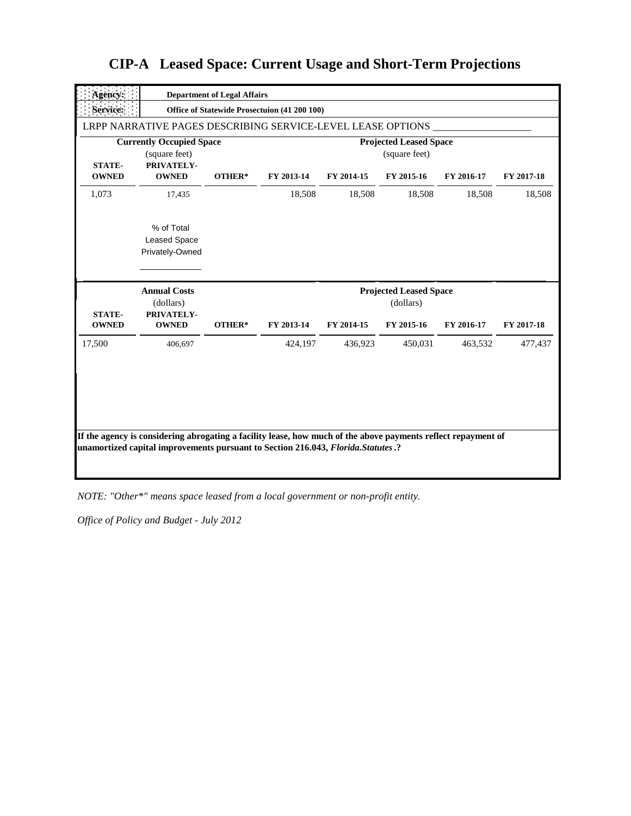| Agency:                       |                                                                | <b>Department of Legal Affairs</b> |                                              |            |                                                          |            |            |
|-------------------------------|----------------------------------------------------------------|------------------------------------|----------------------------------------------|------------|----------------------------------------------------------|------------|------------|
| Service:                      |                                                                |                                    | Office of Statewide Prosectuion (41 200 100) |            |                                                          |            |            |
|                               | LRPP NARRATIVE PAGES DESCRIBING SERVICE-LEVEL LEASE OPTIONS    |                                    |                                              |            |                                                          |            |            |
| <b>STATE-</b>                 | <b>Currently Occupied Space</b><br>(square feet)<br>PRIVATELY- |                                    |                                              |            | <b>Projected Leased Space</b><br>(square feet)           |            |            |
| <b>OWNED</b>                  | <b>OWNED</b>                                                   | OTHER*                             | FY 2013-14                                   | FY 2014-15 | FY 2015-16                                               | FY 2016-17 | FY 2017-18 |
| 1,073                         | 17,435                                                         |                                    | 18,508                                       | 18,508     | 18,508                                                   | 18,508     | 18,508     |
|                               | % of Total<br><b>Leased Space</b><br>Privately-Owned           |                                    |                                              |            |                                                          |            |            |
|                               |                                                                |                                    |                                              |            |                                                          |            |            |
| <b>STATE-</b><br><b>OWNED</b> | <b>Annual Costs</b><br>(dollars)<br>PRIVATELY-<br><b>OWNED</b> | OTHER*                             | FY 2013-14                                   | FY 2014-15 | <b>Projected Leased Space</b><br>(dollars)<br>FY 2015-16 | FY 2016-17 | FY 2017-18 |
| 17,500                        | 406,697                                                        |                                    | 424,197                                      | 436,923    | 450,031                                                  | 463,532    | 477,437    |

*NOTE: "Other\*" means space leased from a local government or non-profit entity.*